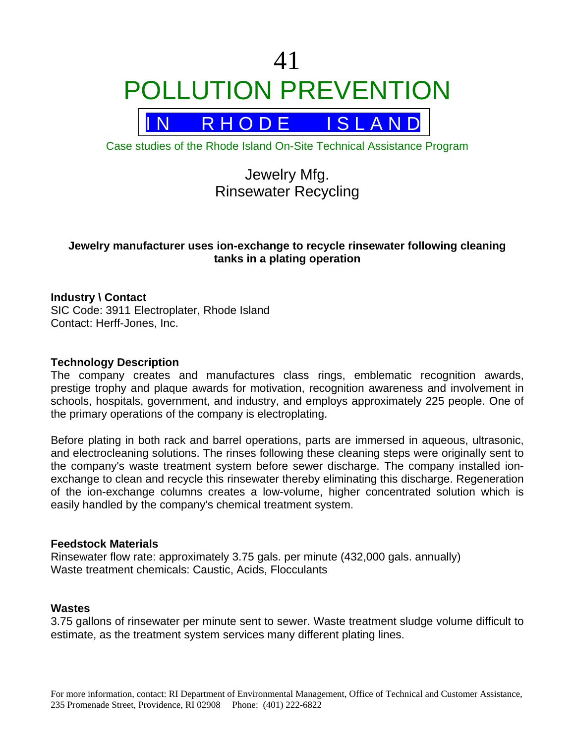# 41 POLLUTION PREVENTION



Case studies of the Rhode Island On-Site Technical Assistance Program

# Jewelry Mfg. Rinsewater Recycling

# **Jewelry manufacturer uses ion-exchange to recycle rinsewater following cleaning tanks in a plating operation**

# **Industry \ Contact**

SIC Code: 3911 Electroplater, Rhode Island Contact: Herff-Jones, Inc.

#### **Technology Description**

The company creates and manufactures class rings, emblematic recognition awards, prestige trophy and plaque awards for motivation, recognition awareness and involvement in schools, hospitals, government, and industry, and employs approximately 225 people. One of the primary operations of the company is electroplating.

Before plating in both rack and barrel operations, parts are immersed in aqueous, ultrasonic, and electrocleaning solutions. The rinses following these cleaning steps were originally sent to the company's waste treatment system before sewer discharge. The company installed ionexchange to clean and recycle this rinsewater thereby eliminating this discharge. Regeneration of the ion-exchange columns creates a low-volume, higher concentrated solution which is easily handled by the company's chemical treatment system.

#### **Feedstock Materials**

Rinsewater flow rate: approximately 3.75 gals. per minute (432,000 gals. annually) Waste treatment chemicals: Caustic, Acids, Flocculants

#### **Wastes**

3.75 gallons of rinsewater per minute sent to sewer. Waste treatment sludge volume difficult to estimate, as the treatment system services many different plating lines.